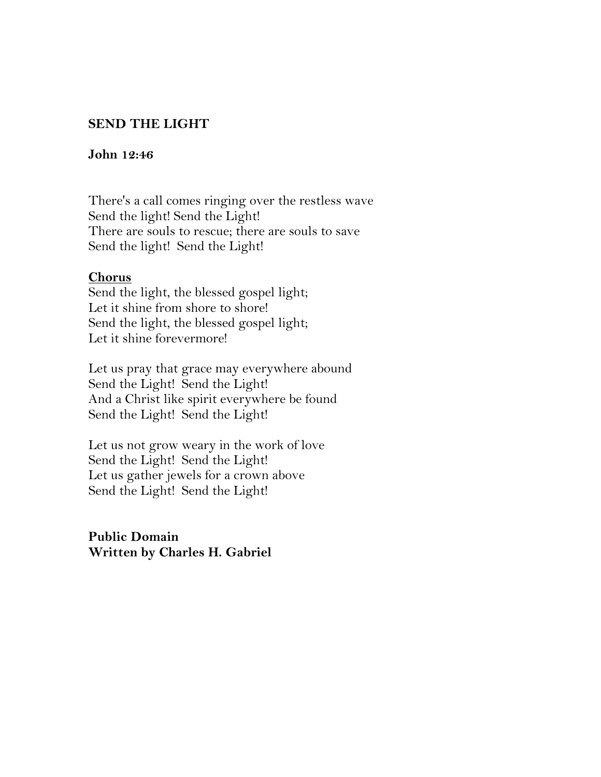# **SEND THE LIGHT**

### John 12:46

There's a call comes ringing over the restless wave Send the light! Send the Light! There are souls to rescue; there are souls to save Send the light! Send the Light!

## **Chorus**

Send the light, the blessed gospel light; Let it shine from shore to shore! Send the light, the blessed gospel light; Let it shine forevermore!

Let us pray that grace may everywhere abound Send the Light! Send the Light! And a Christ like spirit everywhere be found Send the Light! Send the Light!

Let us not grow weary in the work of love Send the Light! Send the Light! Let us gather jewels for a crown above Send the Light! Send the Light!

**Public Domain** Written by Charles H. Gabriel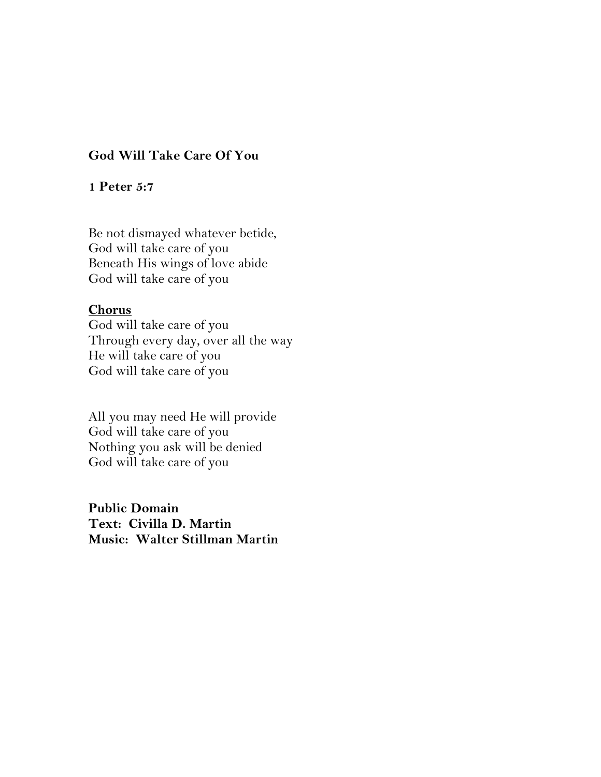## **God Will Take Care Of You**

### 1 Peter 5:7

Be not dismayed whatever betide, God will take care of you Beneath His wings of love abide God will take care of you

### **Chorus**

God will take care of you Through every day, over all the way He will take care of you God will take care of you

All you may need He will provide God will take care of you Nothing you ask will be denied God will take care of you

**Public Domain** Text: Civilla D. Martin Music: Walter Stillman Martin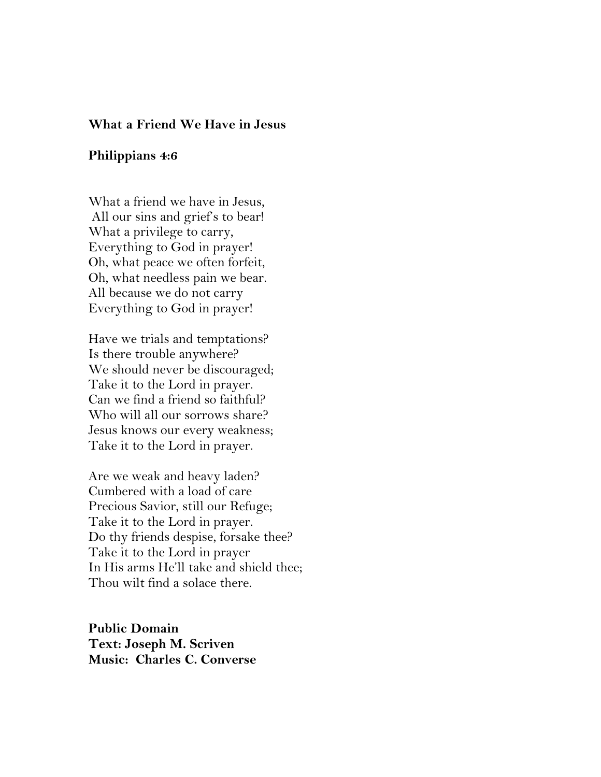#### **What a Friend We Have in Jesus**

#### **Philippians 4:6**

What a friend we have in Jesus, All our sins and grief's to bear! What a privilege to carry, Everything to God in prayer! Oh, what peace we often forfeit, Oh, what needless pain we bear. All because we do not carry Everything to God in prayer!

Have we trials and temptations? Is there trouble anywhere? We should never be discouraged; Take it to the Lord in prayer. Can we find a friend so faithful? Who will all our sorrows share? Jesus knows our every weakness; Take it to the Lord in prayer.

Are we weak and heavy laden? Cumbered with a load of care Precious Savior, still our Refuge; Take it to the Lord in prayer. Do thy friends despise, forsake thee? Take it to the Lord in prayer In His arms He'll take and shield thee; Thou wilt find a solace there.

**Public Domain Text: Joseph M. Scriven** *<u>Music: Charles C. Converse</u>*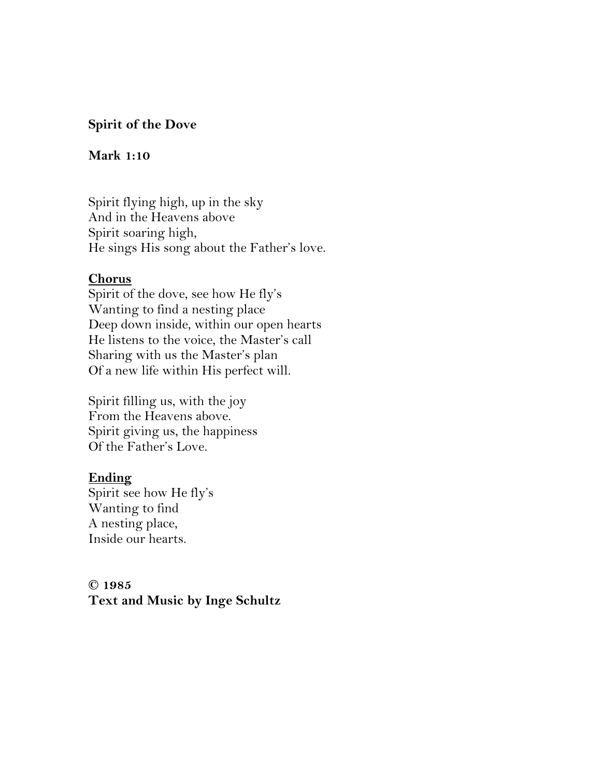## **Spirit of the Dove**

#### **Mark 1:10**

Spirit flying high, up in the sky And in the Heavens above Spirit soaring high, He sings His song about the Father's love.

### **Chorus**

Spirit of the dove, see how He fly's Wanting to find a nesting place Deep down inside, within our open hearts He listens to the voice, the Master's call Sharing with us the Master's plan Of a new life within His perfect will.

Spirit filling us, with the joy From the Heavens above. Spirit giving us, the happiness Of the Father's Love.

### Ending

Spirit see how He fly's Wanting to find A nesting place, Inside our hearts.

C 1985 Text and Music by Inge Schultz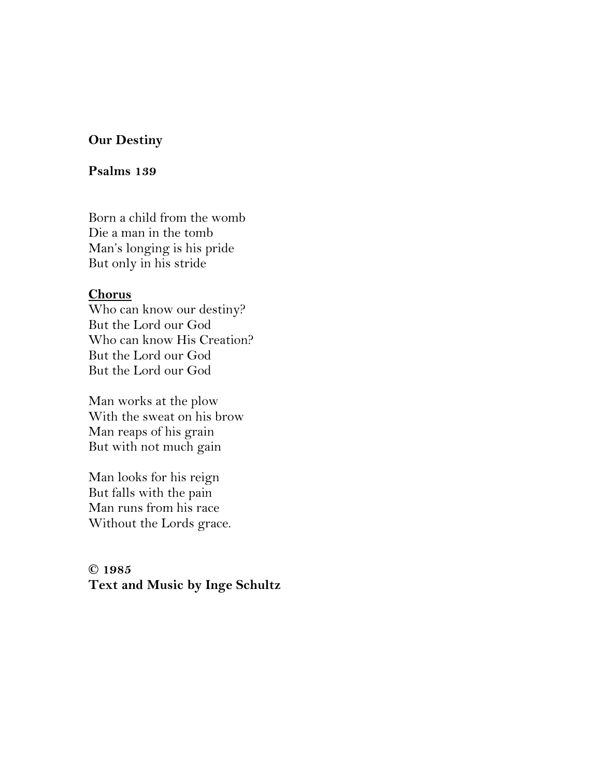## **Our Destiny**

#### **Psalms** 139

Born a child from the womb Die a man in the tomb Man's longing is his pride But only in his stride

#### **Chorus**

Who can know our destiny? But the Lord our God Who can know His Creation? But the Lord our God But the Lord our God

Man works at the plow With the sweat on his brow Man reaps of his grain But with not much gain

Man looks for his reign But falls with the pain Man runs from his race Without the Lords grace.

# **5891 © Text and Music by Inge Schultz**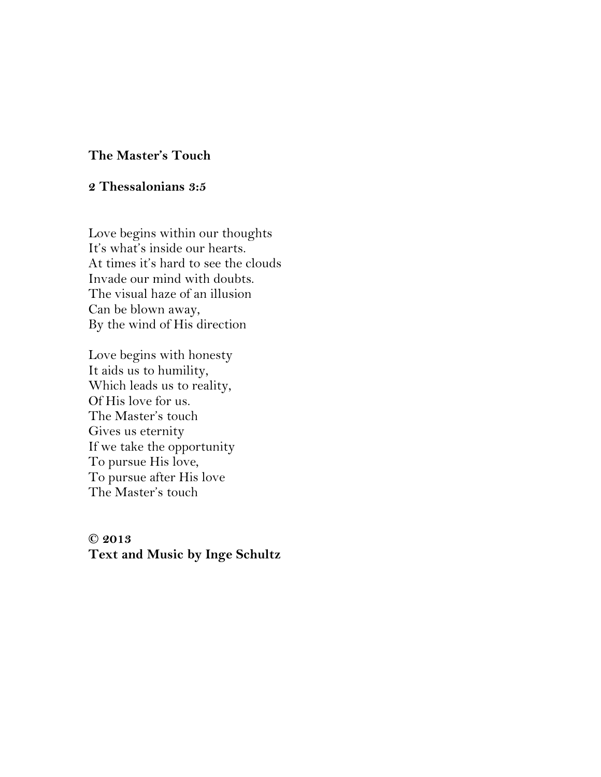## The Master's Touch

## 2 Thessalonians 3:5

Love begins within our thoughts It's what's inside our hearts. At times it's hard to see the clouds Invade our mind with doubts. The visual haze of an illusion Can be blown away, By the wind of His direction

Love begins with honesty It aids us to humility, Which leads us to reality, Of His love for us. The Master's touch Gives us eternity If we take the opportunity To pursue His love, To pursue after His love The Master's touch

 $© 2013$ Text and Music by Inge Schultz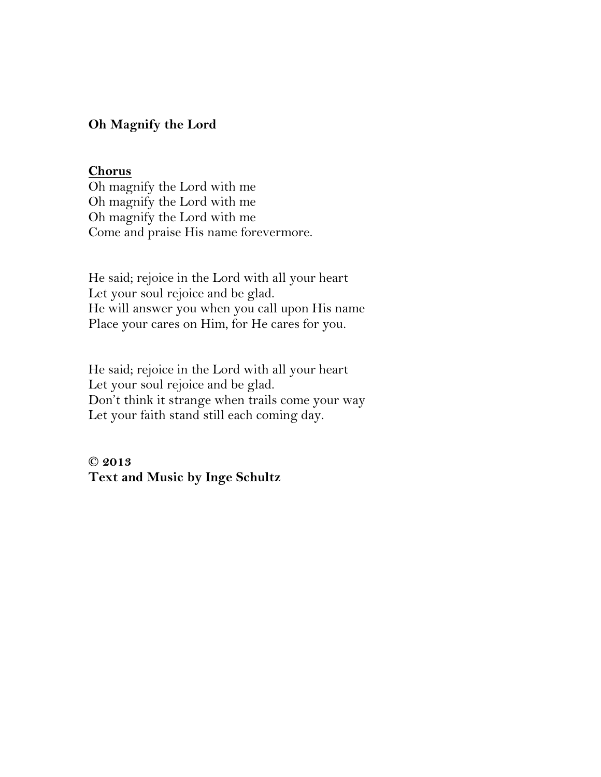## Oh Magnify the Lord

### **Chorus**

Oh magnify the Lord with me Oh magnify the Lord with me Oh magnify the Lord with me Come and praise His name forevermore.

He said; rejoice in the Lord with all your heart Let your soul rejoice and be glad. He will answer you when you call upon His name Place your cares on Him, for He cares for you.

He said; rejoice in the Lord with all your heart Let your soul rejoice and be glad. Don't think it strange when trails come your way Let your faith stand still each coming day.

 $© 2013$ Text and Music by Inge Schultz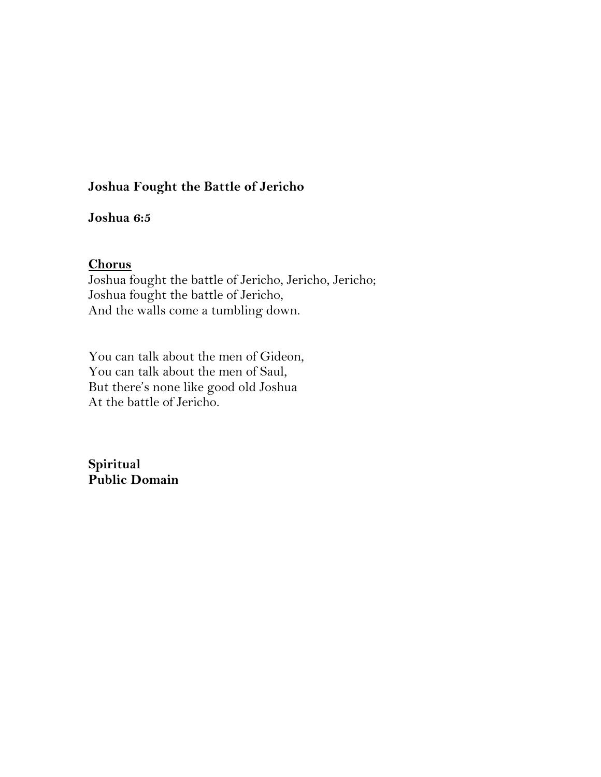# **Joshua Fought the Battle of Jericho**

# Joshua 6:5

## **Chorus**

Joshua fought the battle of Jericho, Jericho, Jericho; Joshua fought the battle of Jericho, And the walls come a tumbling down.

You can talk about the men of Gideon, You can talk about the men of Saul, But there's none like good old Joshua At the battle of Jericho.

**Spiritual** Public Domain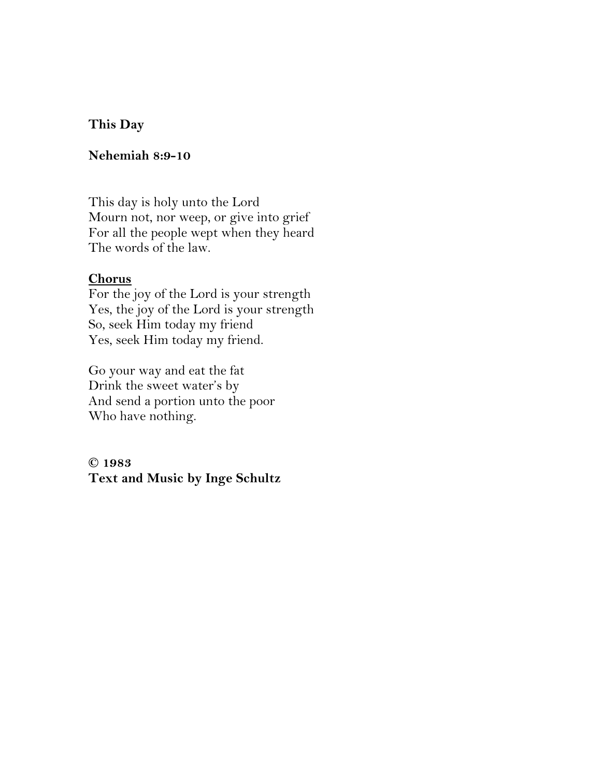# **sihT Day**

# **Nehemiah 8:9-10**

This day is holy unto the Lord Mourn not, nor weep, or give into grief For all the people wept when they heard The words of the law.

## **Chorus**

For the joy of the Lord is your strength Yes, the joy of the Lord is your strength So, seek Him today my friend Yes, seek Him today my friend.

Go your way and eat the fat Drink the sweet water's by And send a portion unto the poor Who have nothing.

**© 3891 Text and Music by Inge Schultz**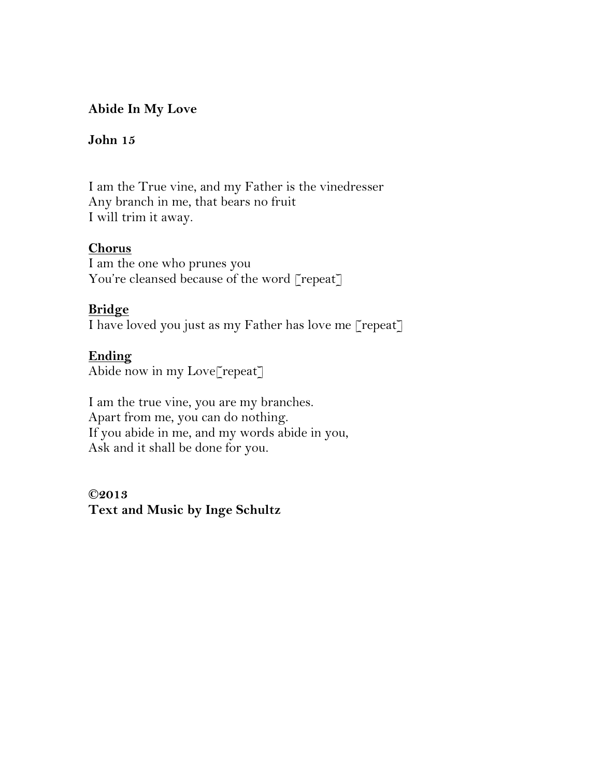# **idde In My Love**

# **John** 15

I am the True vine, and my Father is the vinedresser Any branch in me, that bears no fruit I will trim it away.

## **Chorus**

I am the one who prunes you You're cleansed because of the word [repeat]

# **Bridge**

I have loved you just as my Father has love me [repeat]

# **Ending**

Abide now in my Love[repeat]

I am the true vine, you are my branches. Apart from me, you can do nothing. If you abide in me, and my words abide in you, Ask and it shall be done for you.

**3102© Text and Music by Inge Schultz**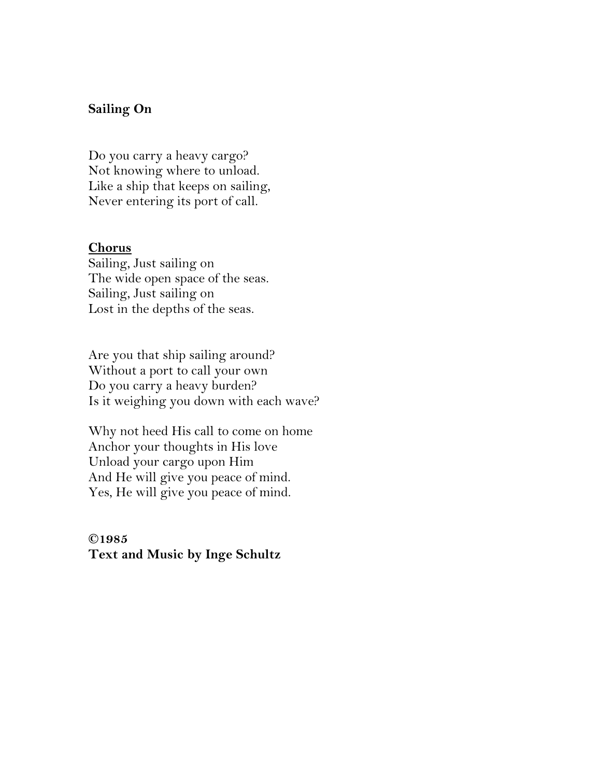## **Sailing On**

Do you carry a heavy cargo? Not knowing where to unload. Like a ship that keeps on sailing, Never entering its port of call.

#### **Chorus**

Sailing, Just sailing on The wide open space of the seas. Sailing, Just sailing on Lost in the depths of the seas.

Are you that ship sailing around? Without a port to call your own Do you carry a heavy burden? Is it weighing you down with each wave?

Why not heed His call to come on home Anchor your thoughts in His love Unload your cargo upon Him And He will give you peace of mind. Yes, He will give you peace of mind.

C1985 **Text and Music by Inge Schultz**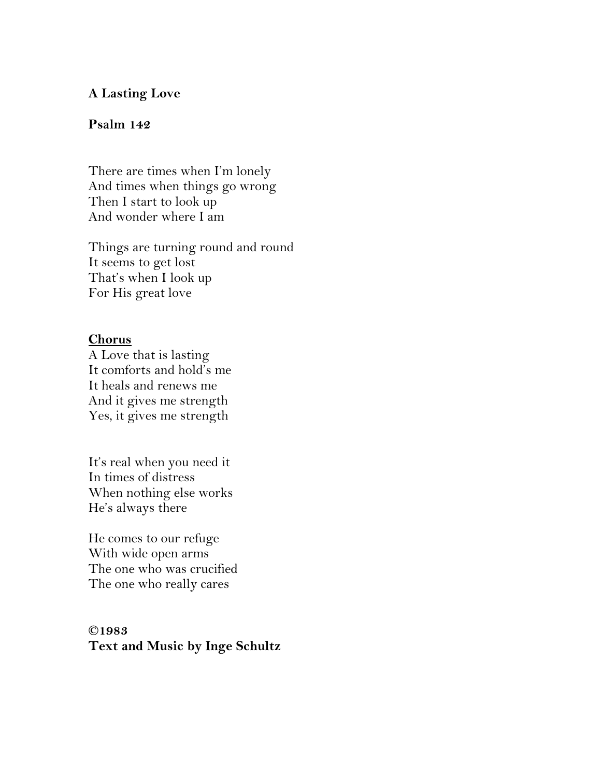## **A Lasting Love**

## Psalm 142

There are times when I'm lonely And times when things go wrong Then I start to look up And wonder where I am

Things are turning round and round It seems to get lost That's when I look up For His great love

## **Chorus**

A Love that is lasting It comforts and hold's me It heals and renews me And it gives me strength Yes, it gives me strength

It's real when you need it In times of distress When nothing else works He's always there

He comes to our refuge With wide open arms The one who was crucified The one who really cares

# **C1983 Text and Music by Inge Schultz**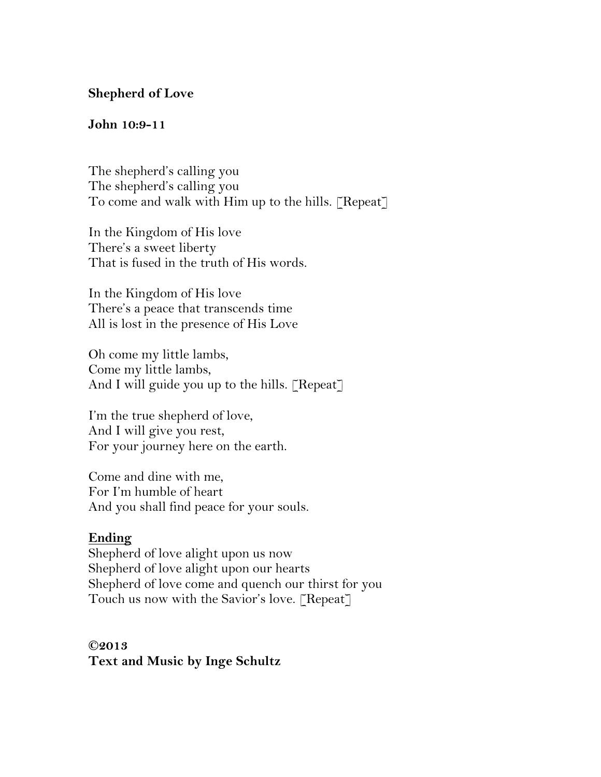# **Shepherd of Love**

### **9:01 nhoJ - 11**

The shepherd's calling you The shepherd's calling you To come and walk with Him up to the hills. [Repeat]

In the Kingdom of His love There's a sweet liberty That is fused in the truth of His words.

In the Kingdom of His love There's a peace that transcends time All is lost in the presence of His Love

Oh come my little lambs, Come my little lambs, And I will guide you up to the hills. [Repeat]

I'm the true shepherd of love, And I will give you rest, For your journey here on the earth.

Come and dine with me. For I'm humble of heart And you shall find peace for your souls.

### <u>Ending</u>

Shepherd of love alight upon us now Shepherd of love alight upon our hearts Shepherd of love come and quench our thirst for you Touch us now with the Savior's love. [Repeat]

**3102© Text and Music by Inge Schultz**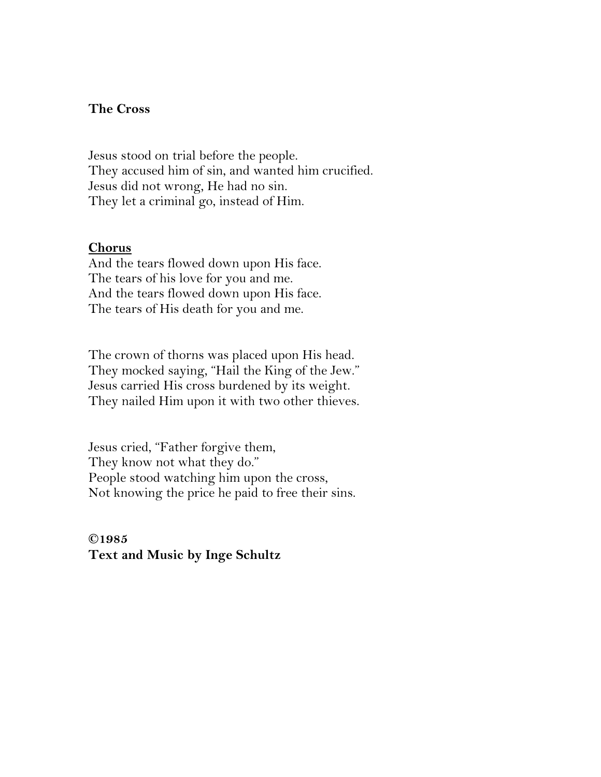### **The Cross**

Jesus stood on trial before the people. They accused him of sin, and wanted him crucified. Jesus did not wrong, He had no sin. They let a criminal go, instead of Him.

#### **Chorus**

And the tears flowed down upon His face. The tears of his love for you and me. And the tears flowed down upon His face. The tears of His death for you and me.

The crown of thorns was placed upon His head. They mocked saying, "Hail the King of the Jew." Jesus carried His cross burdened by its weight. They nailed Him upon it with two other thieves.

Jesus cried, "Father forgive them, They know not what they do." People stood watching him upon the cross, Not knowing the price he paid to free their sins.

C1985 **Text and Music by Inge Schultz**